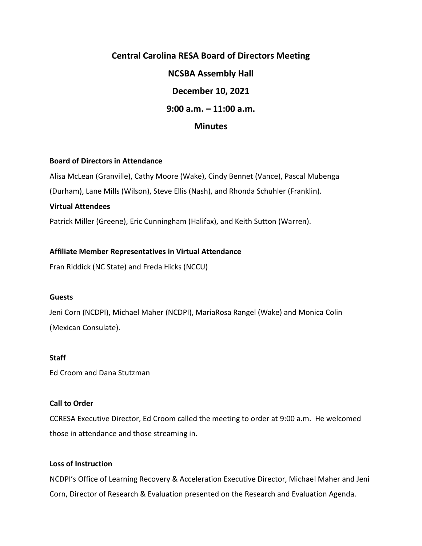# **Central Carolina RESA Board of Directors Meeting NCSBA Assembly Hall December 10, 2021 9:00 a.m. – 11:00 a.m. Minutes**

## **Board of Directors in Attendance**

Alisa McLean (Granville), Cathy Moore (Wake), Cindy Bennet (Vance), Pascal Mubenga (Durham), Lane Mills (Wilson), Steve Ellis (Nash), and Rhonda Schuhler (Franklin).

#### **Virtual Attendees**

Patrick Miller (Greene), Eric Cunningham (Halifax), and Keith Sutton (Warren).

## **Affiliate Member Representatives in Virtual Attendance**

Fran Riddick (NC State) and Freda Hicks (NCCU)

#### **Guests**

Jeni Corn (NCDPI), Michael Maher (NCDPI), MariaRosa Rangel (Wake) and Monica Colin (Mexican Consulate).

### **Staff**

Ed Croom and Dana Stutzman

# **Call to Order**

CCRESA Executive Director, Ed Croom called the meeting to order at 9:00 a.m. He welcomed those in attendance and those streaming in.

# **Loss of Instruction**

NCDPI's Office of Learning Recovery & Acceleration Executive Director, Michael Maher and Jeni Corn, Director of Research & Evaluation presented on the Research and Evaluation Agenda.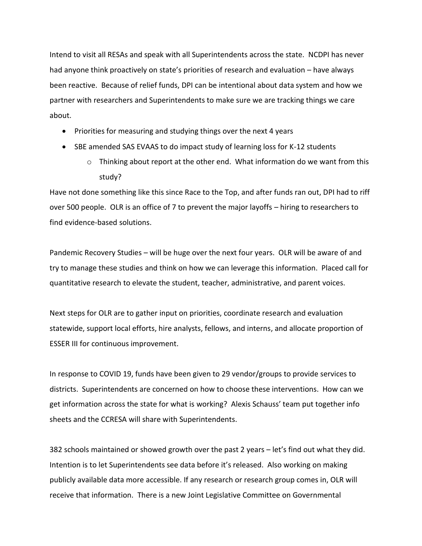Intend to visit all RESAs and speak with all Superintendents across the state. NCDPI has never had anyone think proactively on state's priorities of research and evaluation – have always been reactive. Because of relief funds, DPI can be intentional about data system and how we partner with researchers and Superintendents to make sure we are tracking things we care about.

- Priorities for measuring and studying things over the next 4 years
- SBE amended SAS EVAAS to do impact study of learning loss for K-12 students
	- $\circ$  Thinking about report at the other end. What information do we want from this study?

Have not done something like this since Race to the Top, and after funds ran out, DPI had to riff over 500 people. OLR is an office of 7 to prevent the major layoffs – hiring to researchers to find evidence-based solutions.

Pandemic Recovery Studies – will be huge over the next four years. OLR will be aware of and try to manage these studies and think on how we can leverage this information. Placed call for quantitative research to elevate the student, teacher, administrative, and parent voices.

Next steps for OLR are to gather input on priorities, coordinate research and evaluation statewide, support local efforts, hire analysts, fellows, and interns, and allocate proportion of ESSER III for continuous improvement.

In response to COVID 19, funds have been given to 29 vendor/groups to provide services to districts. Superintendents are concerned on how to choose these interventions. How can we get information across the state for what is working? Alexis Schauss' team put together info sheets and the CCRESA will share with Superintendents.

382 schools maintained or showed growth over the past 2 years – let's find out what they did. Intention is to let Superintendents see data before it's released. Also working on making publicly available data more accessible. If any research or research group comes in, OLR will receive that information. There is a new Joint Legislative Committee on Governmental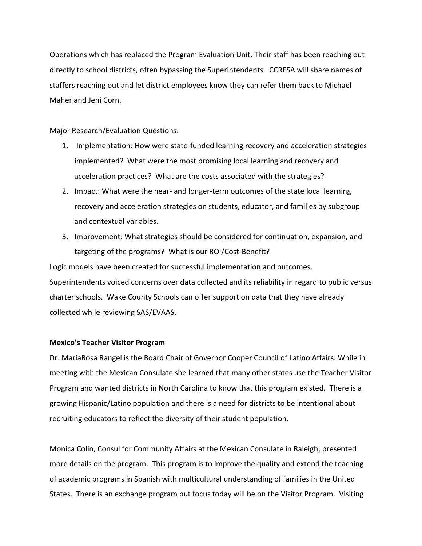Operations which has replaced the Program Evaluation Unit. Their staff has been reaching out directly to school districts, often bypassing the Superintendents. CCRESA will share names of staffers reaching out and let district employees know they can refer them back to Michael Maher and Jeni Corn.

Major Research/Evaluation Questions:

- 1. Implementation: How were state-funded learning recovery and acceleration strategies implemented? What were the most promising local learning and recovery and acceleration practices? What are the costs associated with the strategies?
- 2. Impact: What were the near- and longer-term outcomes of the state local learning recovery and acceleration strategies on students, educator, and families by subgroup and contextual variables.
- 3. Improvement: What strategies should be considered for continuation, expansion, and targeting of the programs? What is our ROI/Cost-Benefit?

Logic models have been created for successful implementation and outcomes. Superintendents voiced concerns over data collected and its reliability in regard to public versus charter schools. Wake County Schools can offer support on data that they have already collected while reviewing SAS/EVAAS.

# **Mexico's Teacher Visitor Program**

Dr. MariaRosa Rangel is the Board Chair of Governor Cooper Council of Latino Affairs. While in meeting with the Mexican Consulate she learned that many other states use the Teacher Visitor Program and wanted districts in North Carolina to know that this program existed. There is a growing Hispanic/Latino population and there is a need for districts to be intentional about recruiting educators to reflect the diversity of their student population.

Monica Colin, Consul for Community Affairs at the Mexican Consulate in Raleigh, presented more details on the program. This program is to improve the quality and extend the teaching of academic programs in Spanish with multicultural understanding of families in the United States. There is an exchange program but focus today will be on the Visitor Program. Visiting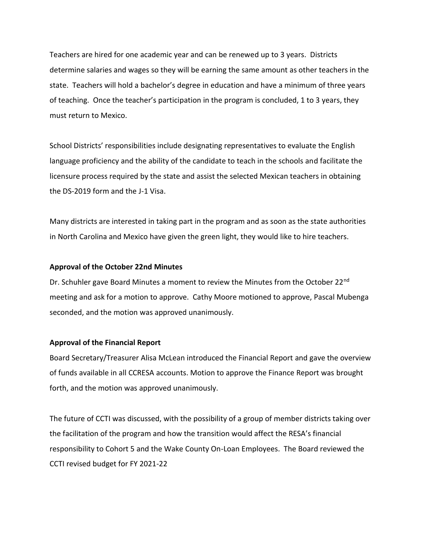Teachers are hired for one academic year and can be renewed up to 3 years. Districts determine salaries and wages so they will be earning the same amount as other teachers in the state. Teachers will hold a bachelor's degree in education and have a minimum of three years of teaching. Once the teacher's participation in the program is concluded, 1 to 3 years, they must return to Mexico.

School Districts' responsibilities include designating representatives to evaluate the English language proficiency and the ability of the candidate to teach in the schools and facilitate the licensure process required by the state and assist the selected Mexican teachers in obtaining the DS-2019 form and the J-1 Visa.

Many districts are interested in taking part in the program and as soon as the state authorities in North Carolina and Mexico have given the green light, they would like to hire teachers.

## **Approval of the October 22nd Minutes**

Dr. Schuhler gave Board Minutes a moment to review the Minutes from the October 22<sup>nd</sup> meeting and ask for a motion to approve. Cathy Moore motioned to approve, Pascal Mubenga seconded, and the motion was approved unanimously.

#### **Approval of the Financial Report**

Board Secretary/Treasurer Alisa McLean introduced the Financial Report and gave the overview of funds available in all CCRESA accounts. Motion to approve the Finance Report was brought forth, and the motion was approved unanimously.

The future of CCTI was discussed, with the possibility of a group of member districts taking over the facilitation of the program and how the transition would affect the RESA's financial responsibility to Cohort 5 and the Wake County On-Loan Employees. The Board reviewed the CCTI revised budget for FY 2021-22